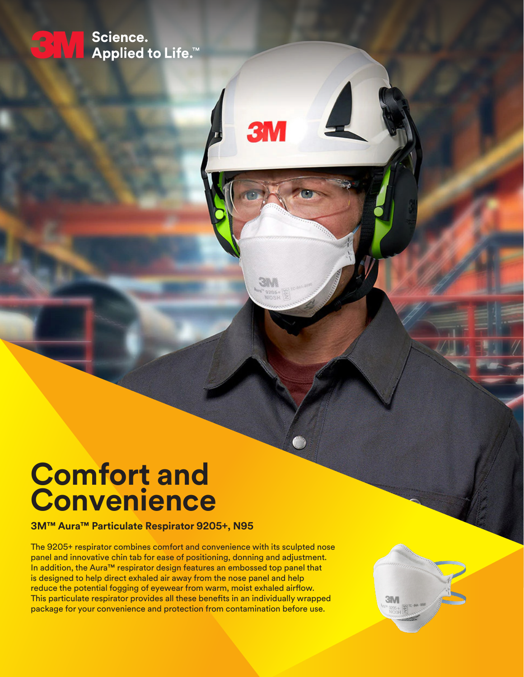

# **Comfort and Convenience**

**3M™ Aura™ Particulate Respirator 9205+, N95**

The 9205+ respirator combines comfort and convenience with its sculpted nose panel and innovative chin tab for ease of positioning, donning and adjustment. In addition, the Aura™ respirator design features an embossed top panel that is designed to help direct exhaled air away from the nose panel and help reduce the potential fogging of eyewear from warm, moist exhaled airflow. This particulate respirator provides all these benefits in an individually wrapped package for your convenience and protection from contamination before use.